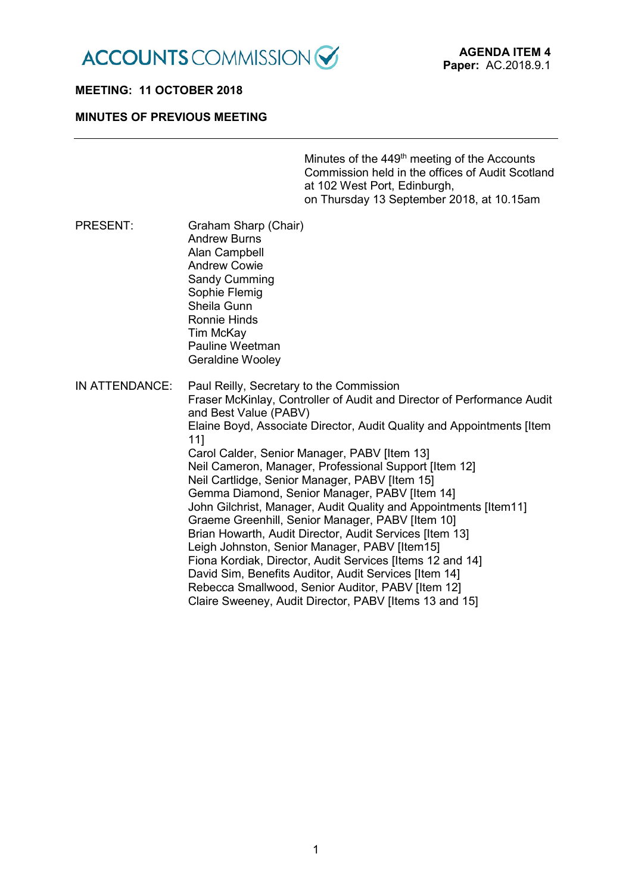

#### **MEETING: 11 OCTOBER 2018**

#### **MINUTES OF PREVIOUS MEETING**

Minutes of the 449<sup>th</sup> meeting of the Accounts Commission held in the offices of Audit Scotland at 102 West Port, Edinburgh, on Thursday 13 September 2018, at 10.15am

PRESENT: Graham Sharp (Chair) Andrew Burns Alan Campbell Andrew Cowie Sandy Cumming Sophie Flemig Sheila Gunn Ronnie Hinds Tim McKay Pauline Weetman Geraldine Wooley IN ATTENDANCE: Paul Reilly, Secretary to the Commission Fraser McKinlay, Controller of Audit and Director of Performance Audit and Best Value (PABV) Elaine Boyd, Associate Director, Audit Quality and Appointments [Item 11] Carol Calder, Senior Manager, PABV [Item 13] Neil Cameron, Manager, Professional Support [Item 12] Neil Cartlidge, Senior Manager, PABV [Item 15] Gemma Diamond, Senior Manager, PABV [Item 14] John Gilchrist, Manager, Audit Quality and Appointments Iltem111 Graeme Greenhill, Senior Manager, PABV [Item 10] Brian Howarth, Audit Director, Audit Services [Item 13] Leigh Johnston, Senior Manager, PABV [Item15] Fiona Kordiak, Director, Audit Services [Items 12 and 14] David Sim, Benefits Auditor, Audit Services [Item 14] Rebecca Smallwood, Senior Auditor, PABV [Item 12] Claire Sweeney, Audit Director, PABV [Items 13 and 15]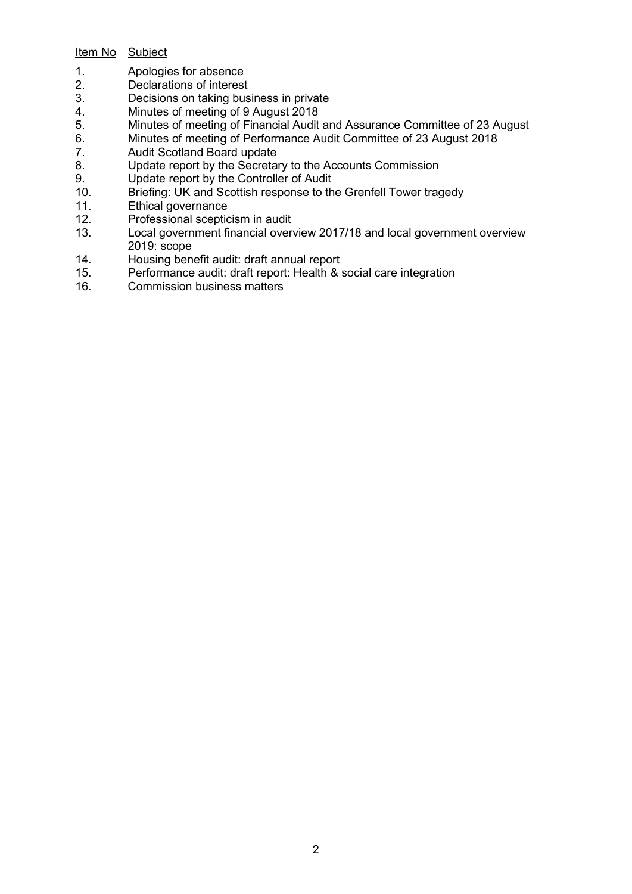# Item No Subject

- 1. Apologies for absence
- 2. Declarations of interest
- 3. Decisions on taking business in private<br>4. Minutes of meeting of 9 August 2018
- 4. Minutes of meeting of 9 August 2018<br>5. Minutes of meeting of Financial Audit
- 5. Minutes of meeting of Financial Audit and Assurance Committee of 23 August 6.<br>6. Minutes of meeting of Performance Audit Committee of 23 August 2018
- 6. Minutes of meeting of Performance Audit Committee of 23 August 2018
- 7. Audit Scotland Board update
- 8. Update report by the Secretary to the Accounts Commission
- 9. Update report by the Controller of Audit<br>10. Briefing: UK and Scottish response to th
- Briefing: UK and Scottish response to the Grenfell Tower tragedy
- 11. Ethical governance<br>12. Professional sceptic
- 12. Professional scepticism in audit<br>13. Local government financial over
- Local government financial overview 2017/18 and local government overview 2019: scope
- 14. Housing benefit audit: draft annual report<br>15. Performance audit: draft report: Health & s
- 15. Performance audit: draft report: Health & social care integration<br>16. Commission business matters
- Commission business matters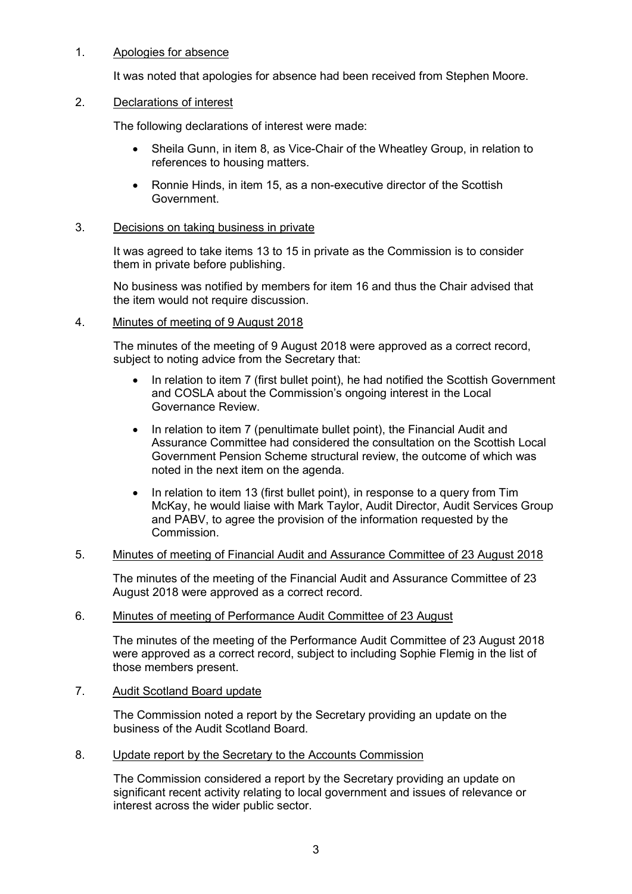## 1. Apologies for absence

It was noted that apologies for absence had been received from Stephen Moore.

#### 2. Declarations of interest

The following declarations of interest were made:

- Sheila Gunn, in item 8, as Vice-Chair of the Wheatley Group, in relation to references to housing matters.
- Ronnie Hinds, in item 15, as a non-executive director of the Scottish Government.

#### 3. Decisions on taking business in private

It was agreed to take items 13 to 15 in private as the Commission is to consider them in private before publishing.

No business was notified by members for item 16 and thus the Chair advised that the item would not require discussion.

#### 4. Minutes of meeting of 9 August 2018

The minutes of the meeting of 9 August 2018 were approved as a correct record, subject to noting advice from the Secretary that:

- In relation to item 7 (first bullet point), he had notified the Scottish Government and COSLA about the Commission's ongoing interest in the Local Governance Review.
- In relation to item 7 (penultimate bullet point), the Financial Audit and Assurance Committee had considered the consultation on the Scottish Local Government Pension Scheme structural review, the outcome of which was noted in the next item on the agenda.
- In relation to item 13 (first bullet point), in response to a query from Tim McKay, he would liaise with Mark Taylor, Audit Director, Audit Services Group and PABV, to agree the provision of the information requested by the Commission.

## 5. Minutes of meeting of Financial Audit and Assurance Committee of 23 August 2018

The minutes of the meeting of the Financial Audit and Assurance Committee of 23 August 2018 were approved as a correct record.

#### 6. Minutes of meeting of Performance Audit Committee of 23 August

The minutes of the meeting of the Performance Audit Committee of 23 August 2018 were approved as a correct record, subject to including Sophie Flemig in the list of those members present.

7. Audit Scotland Board update

The Commission noted a report by the Secretary providing an update on the business of the Audit Scotland Board.

8. Update report by the Secretary to the Accounts Commission

The Commission considered a report by the Secretary providing an update on significant recent activity relating to local government and issues of relevance or interest across the wider public sector.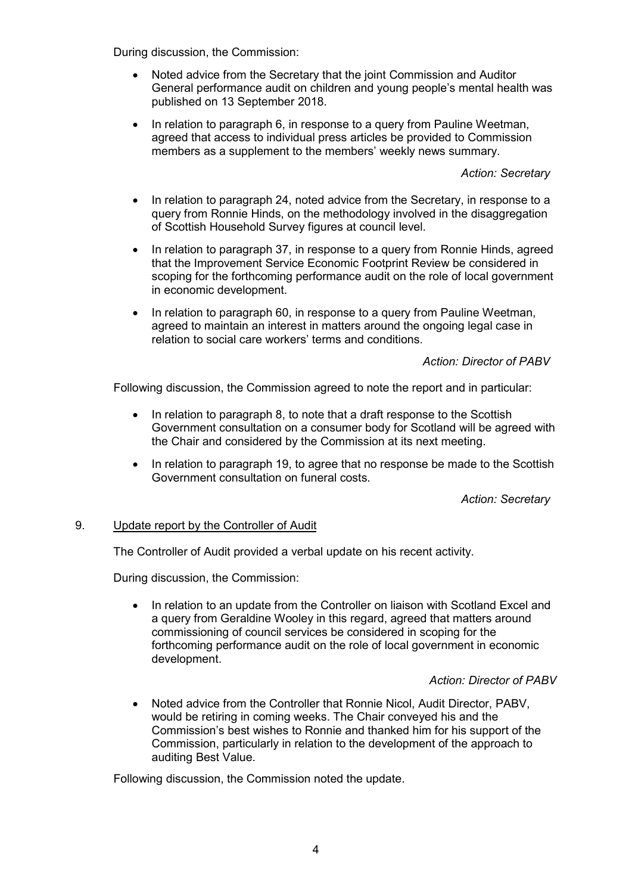During discussion, the Commission:

- Noted advice from the Secretary that the joint Commission and Auditor General performance audit on children and young people's mental health was published on 13 September 2018.
- In relation to paragraph 6, in response to a query from Pauline Weetman, agreed that access to individual press articles be provided to Commission members as a supplement to the members' weekly news summary.

*Action: Secretary*

- In relation to paragraph 24, noted advice from the Secretary, in response to a query from Ronnie Hinds, on the methodology involved in the disaggregation of Scottish Household Survey figures at council level.
- In relation to paragraph 37, in response to a query from Ronnie Hinds, agreed that the Improvement Service Economic Footprint Review be considered in scoping for the forthcoming performance audit on the role of local government in economic development.
- In relation to paragraph 60, in response to a query from Pauline Weetman, agreed to maintain an interest in matters around the ongoing legal case in relation to social care workers' terms and conditions.

*Action: Director of PABV*

Following discussion, the Commission agreed to note the report and in particular:

- In relation to paragraph 8, to note that a draft response to the Scottish Government consultation on a consumer body for Scotland will be agreed with the Chair and considered by the Commission at its next meeting.
- In relation to paragraph 19, to agree that no response be made to the Scottish Government consultation on funeral costs.

*Action: Secretary*

### 9. Update report by the Controller of Audit

The Controller of Audit provided a verbal update on his recent activity.

During discussion, the Commission:

• In relation to an update from the Controller on liaison with Scotland Excel and a query from Geraldine Wooley in this regard, agreed that matters around commissioning of council services be considered in scoping for the forthcoming performance audit on the role of local government in economic development.

*Action: Director of PABV*

• Noted advice from the Controller that Ronnie Nicol, Audit Director, PABV, would be retiring in coming weeks. The Chair conveyed his and the Commission's best wishes to Ronnie and thanked him for his support of the Commission, particularly in relation to the development of the approach to auditing Best Value.

Following discussion, the Commission noted the update.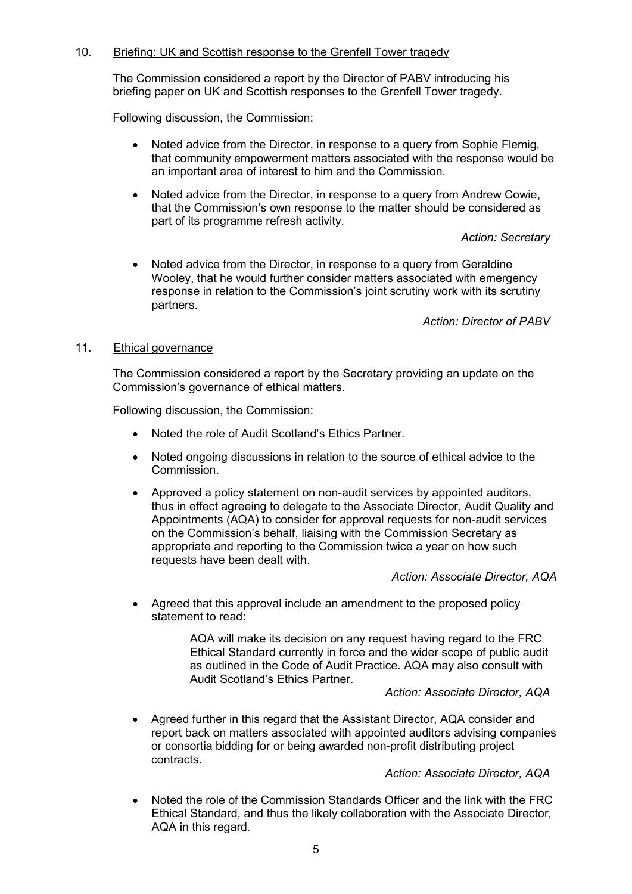## 10. Briefing: UK and Scottish response to the Grenfell Tower tragedy

The Commission considered a report by the Director of PABV introducing his briefing paper on UK and Scottish responses to the Grenfell Tower tragedy.

Following discussion, the Commission:

- Noted advice from the Director, in response to a query from Sophie Flemig, that community empowerment matters associated with the response would be an important area of interest to him and the Commission.
- Noted advice from the Director, in response to a query from Andrew Cowie, that the Commission's own response to the matter should be considered as part of its programme refresh activity.

*Action: Secretary*

• Noted advice from the Director, in response to a query from Geraldine Wooley, that he would further consider matters associated with emergency response in relation to the Commission's joint scrutiny work with its scrutiny partners.

*Action: Director of PABV*

### 11. Ethical governance

The Commission considered a report by the Secretary providing an update on the Commission's governance of ethical matters.

Following discussion, the Commission:

- Noted the role of Audit Scotland's Ethics Partner.
- Noted ongoing discussions in relation to the source of ethical advice to the Commission.
- Approved a policy statement on non-audit services by appointed auditors, thus in effect agreeing to delegate to the Associate Director, Audit Quality and Appointments (AQA) to consider for approval requests for non-audit services on the Commission's behalf, liaising with the Commission Secretary as appropriate and reporting to the Commission twice a year on how such requests have been dealt with.

*Action: Associate Director, AQA*

• Agreed that this approval include an amendment to the proposed policy statement to read:

> AQA will make its decision on any request having regard to the FRC Ethical Standard currently in force and the wider scope of public audit as outlined in the Code of Audit Practice. AQA may also consult with Audit Scotland's Ethics Partner.

*Action: Associate Director, AQA*

• Agreed further in this regard that the Assistant Director, AQA consider and report back on matters associated with appointed auditors advising companies or consortia bidding for or being awarded non-profit distributing project contracts.

*Action: Associate Director, AQA*

• Noted the role of the Commission Standards Officer and the link with the FRC Ethical Standard, and thus the likely collaboration with the Associate Director, AQA in this regard.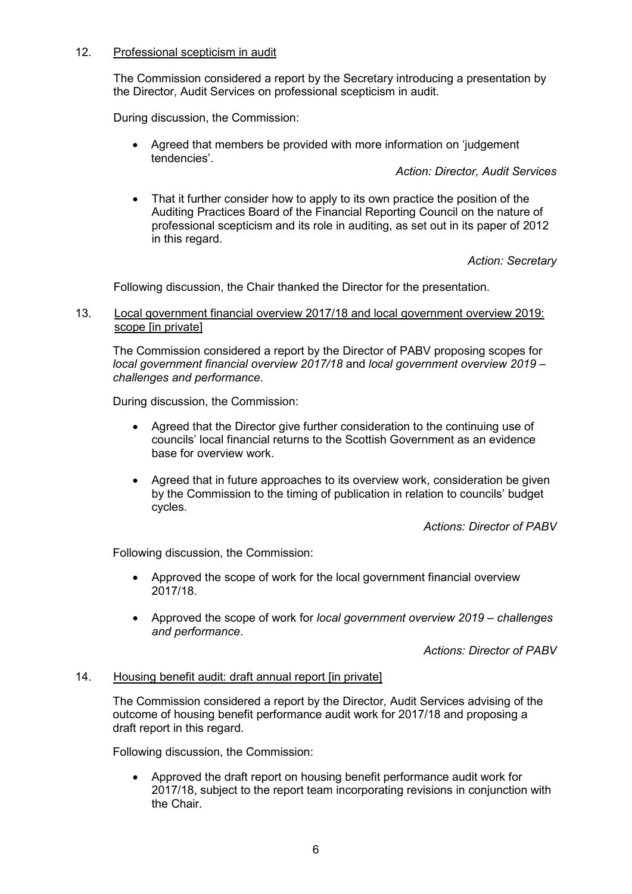## 12. Professional scepticism in audit

The Commission considered a report by the Secretary introducing a presentation by the Director, Audit Services on professional scepticism in audit.

During discussion, the Commission:

• Agreed that members be provided with more information on 'judgement tendencies'.

*Action: Director, Audit Services*

• That it further consider how to apply to its own practice the position of the Auditing Practices Board of the Financial Reporting Council on the nature of professional scepticism and its role in auditing, as set out in its paper of 2012 in this regard.

*Action: Secretary*

Following discussion, the Chair thanked the Director for the presentation.

#### 13. Local government financial overview 2017/18 and local government overview 2019: scope [in private]

The Commission considered a report by the Director of PABV proposing scopes for *local government financial overview 2017/18* and *local government overview 2019 – challenges and performance*.

During discussion, the Commission:

- Agreed that the Director give further consideration to the continuing use of councils' local financial returns to the Scottish Government as an evidence base for overview work.
- Agreed that in future approaches to its overview work, consideration be given by the Commission to the timing of publication in relation to councils' budget cycles.

*Actions: Director of PABV*

Following discussion, the Commission:

- Approved the scope of work for the local government financial overview 2017/18.
- Approved the scope of work for *local government overview 2019 – challenges and performance*.

*Actions: Director of PABV*

### 14. Housing benefit audit: draft annual report [in private]

The Commission considered a report by the Director, Audit Services advising of the outcome of housing benefit performance audit work for 2017/18 and proposing a draft report in this regard.

Following discussion, the Commission:

• Approved the draft report on housing benefit performance audit work for 2017/18, subject to the report team incorporating revisions in conjunction with the Chair.